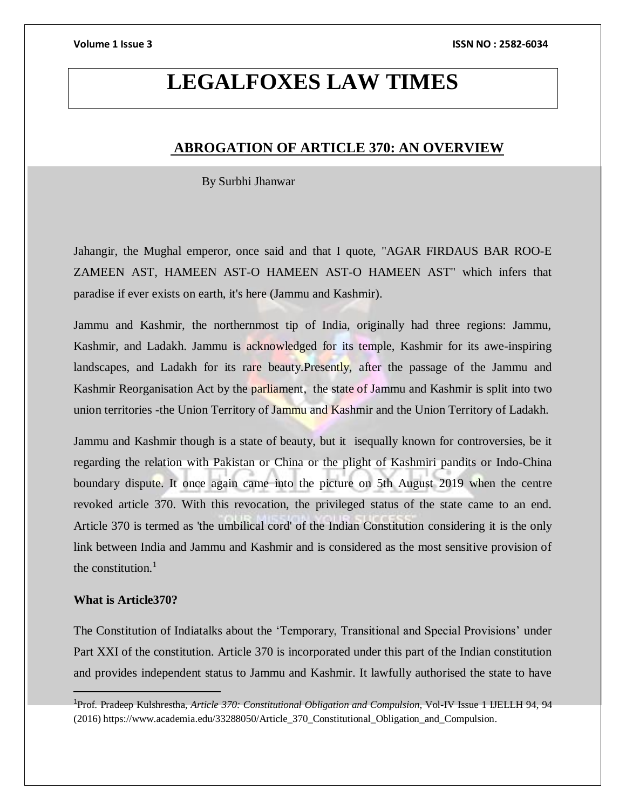# **LEGALFOXES LAW TIMES**

# **ABROGATION OF ARTICLE 370: AN OVERVIEW**

By Surbhi Jhanwar

Jahangir, the Mughal emperor, once said and that I quote, "AGAR FIRDAUS BAR ROO-E ZAMEEN AST, HAMEEN AST-O HAMEEN AST-O HAMEEN AST" which infers that paradise if ever exists on earth, it's here (Jammu and Kashmir).

Jammu and Kashmir, the northernmost tip of India, originally had three regions: Jammu, Kashmir, and Ladakh. Jammu is acknowledged for its temple, Kashmir for its awe-inspiring landscapes, and Ladakh for its rare beauty.Presently, after the passage of the Jammu and Kashmir Reorganisation Act by the parliament, the state of Jammu and Kashmir is split into two union territories -the Union Territory of Jammu and Kashmir and the Union Territory of Ladakh.

Jammu and Kashmir though is a state of beauty, but it isequally known for controversies, be it regarding the relation with Pakistan or China or the plight of Kashmiri pandits or Indo-China boundary dispute. It once again came into the picture on 5th August 2019 when the centre revoked article 370. With this revocation, the privileged status of the state came to an end. Article 370 is termed as 'the umbilical cord' of the Indian Constitution considering it is the only link between India and Jammu and Kashmir and is considered as the most sensitive provision of the constitution. $<sup>1</sup>$ </sup>

### **What is Article370?**

 $\overline{a}$ 

The Constitution of Indiatalks about the 'Temporary, Transitional and Special Provisions' under Part XXI of the constitution. Article 370 is incorporated under this part of the Indian constitution and provides independent status to Jammu and Kashmir. It lawfully authorised the state to have

<sup>1</sup>Prof. Pradeep Kulshrestha, *Article 370: Constitutional Obligation and Compulsion*, Vol-IV Issue 1 IJELLH 94, 94 (2016) https://www.academia.edu/33288050/Article\_370\_Constitutional\_Obligation\_and\_Compulsion.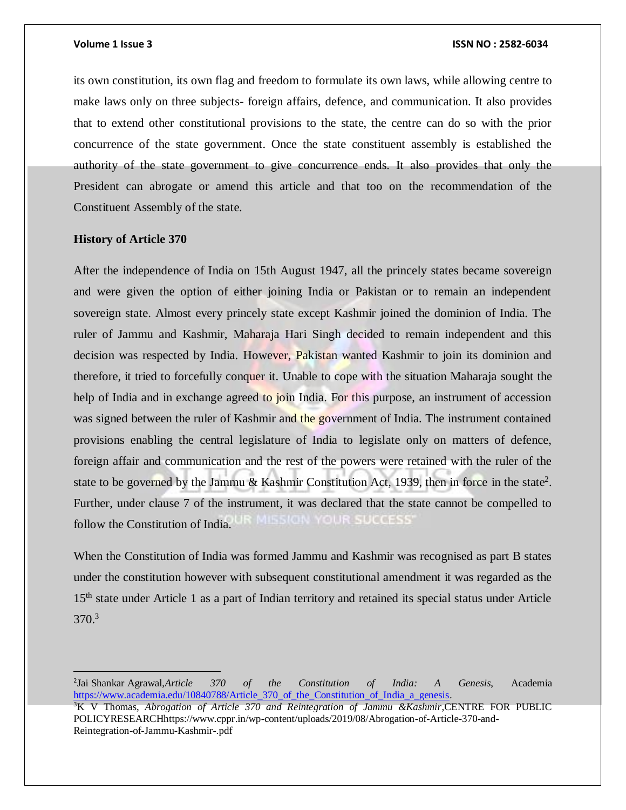its own constitution, its own flag and freedom to formulate its own laws, while allowing centre to make laws only on three subjects- foreign affairs, defence, and communication. It also provides that to extend other constitutional provisions to the state, the centre can do so with the prior concurrence of the state government. Once the state constituent assembly is established the authority of the state government to give concurrence ends. It also provides that only the President can abrogate or amend this article and that too on the recommendation of the Constituent Assembly of the state.

# **History of Article 370**

 $\overline{a}$ 

After the independence of India on 15th August 1947, all the princely states became sovereign and were given the option of either joining India or Pakistan or to remain an independent sovereign state. Almost every princely state except Kashmir joined the dominion of India. The ruler of Jammu and Kashmir, Maharaja Hari Singh decided to remain independent and this decision was respected by India. However, Pakistan wanted Kashmir to join its dominion and therefore, it tried to forcefully conquer it. Unable to cope with the situation Maharaja sought the help of India and in exchange agreed to join India. For this purpose, an instrument of accession was signed between the ruler of Kashmir and the government of India. The instrument contained provisions enabling the central legislature of India to legislate only on matters of defence, foreign affair and communication and the rest of the powers were retained with the ruler of the state to be governed by the Jammu  $\&$  Kashmir Constitution Act, 1939, then in force in the state<sup>2</sup>. Further, under clause 7 of the instrument, it was declared that the state cannot be compelled to **OUR SUCCESS** follow the Constitution of India.

When the Constitution of India was formed Jammu and Kashmir was recognised as part B states under the constitution however with subsequent constitutional amendment it was regarded as the 15<sup>th</sup> state under Article 1 as a part of Indian territory and retained its special status under Article 370.<sup>3</sup>

<sup>2</sup> Jai Shankar Agrawal,*Article 370 of the Constitution of India: A Genesis*, Academia https://www.academia.edu/10840788/Article 370 of the Constitution of India a genesis.

<sup>3</sup>K V Thomas, *Abrogation of Article 370 and Reintegration of Jammu &Kashmir*,CENTRE FOR PUBLIC POLICYRESEARCHhttps://www.cppr.in/wp-content/uploads/2019/08/Abrogation-of-Article-370-and-Reintegration-of-Jammu-Kashmir-.pdf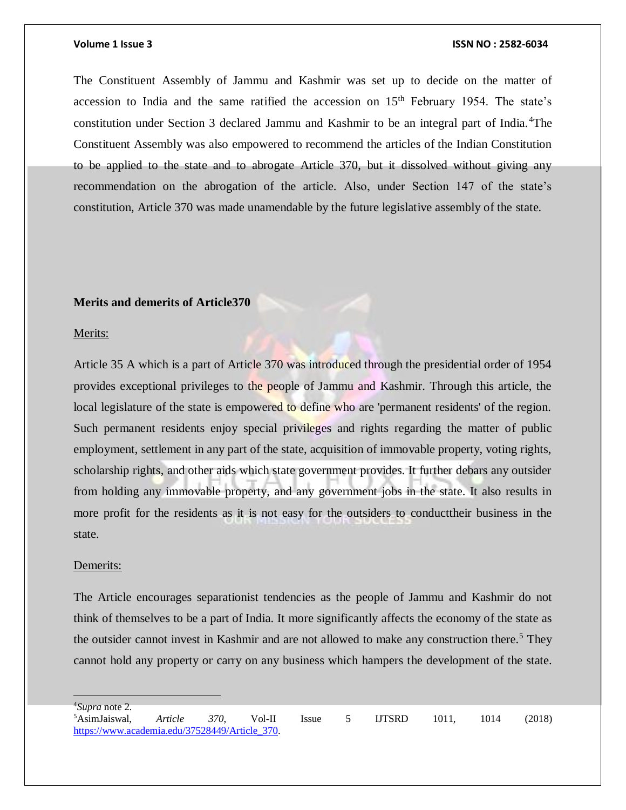The Constituent Assembly of Jammu and Kashmir was set up to decide on the matter of accession to India and the same ratified the accession on  $15<sup>th</sup>$  February 1954. The state's constitution under Section 3 declared Jammu and Kashmir to be an integral part of India. <sup>4</sup>The Constituent Assembly was also empowered to recommend the articles of the Indian Constitution to be applied to the state and to abrogate Article 370, but it dissolved without giving any recommendation on the abrogation of the article. Also, under Section 147 of the state's constitution, Article 370 was made unamendable by the future legislative assembly of the state.

### **Merits and demerits of Article370**

### Merits:

Article 35 A which is a part of Article 370 was introduced through the presidential order of 1954 provides exceptional privileges to the people of Jammu and Kashmir. Through this article, the local legislature of the state is empowered to define who are 'permanent residents' of the region. Such permanent residents enjoy special privileges and rights regarding the matter of public employment, settlement in any part of the state, acquisition of immovable property, voting rights, scholarship rights, and other aids which state government provides. It further debars any outsider from holding any immovable property, and any government jobs in the state. It also results in more profit for the residents as it is not easy for the outsiders to conducttheir business in the state.

### Demerits:

The Article encourages separationist tendencies as the people of Jammu and Kashmir do not think of themselves to be a part of India. It more significantly affects the economy of the state as the outsider cannot invest in Kashmir and are not allowed to make any construction there.<sup>5</sup> They cannot hold any property or carry on any business which hampers the development of the state.

<sup>4</sup>*Supra* note 2.

<sup>5</sup>AsimJaiswal, *Article 370*, Vol-II Issue 5 IJTSRD 1011, 1014 (2018) [https://www.academia.edu/37528449/Article\\_370.](https://www.academia.edu/37528449/Article_370)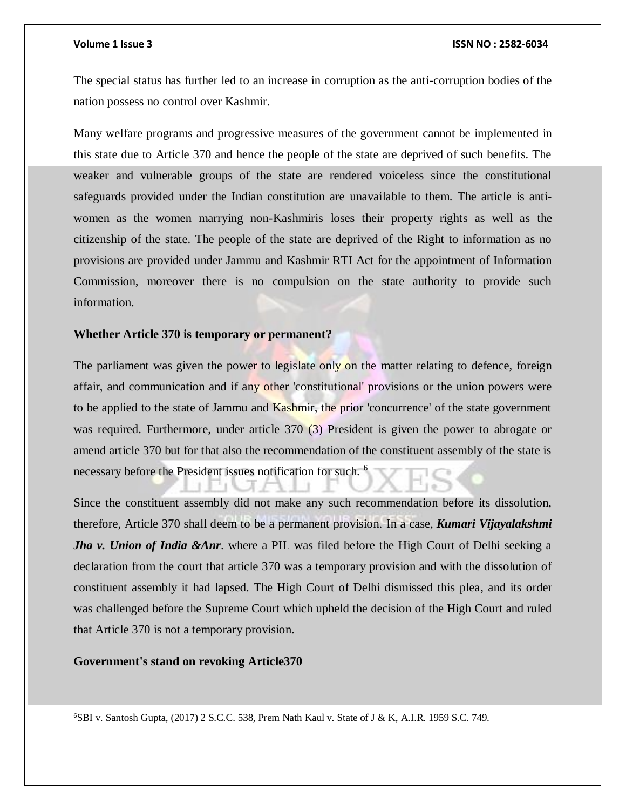The special status has further led to an increase in corruption as the anti-corruption bodies of the nation possess no control over Kashmir.

Many welfare programs and progressive measures of the government cannot be implemented in this state due to Article 370 and hence the people of the state are deprived of such benefits. The weaker and vulnerable groups of the state are rendered voiceless since the constitutional safeguards provided under the Indian constitution are unavailable to them. The article is antiwomen as the women marrying non-Kashmiris loses their property rights as well as the citizenship of the state. The people of the state are deprived of the Right to information as no provisions are provided under Jammu and Kashmir RTI Act for the appointment of Information Commission, moreover there is no compulsion on the state authority to provide such information.

# **Whether Article 370 is temporary or permanent?**

The parliament was given the power to legislate only on the matter relating to defence, foreign affair, and communication and if any other 'constitutional' provisions or the union powers were to be applied to the state of Jammu and Kashmir, the prior 'concurrence' of the state government was required. Furthermore, under article 370 (3) President is given the power to abrogate or amend article 370 but for that also the recommendation of the constituent assembly of the state is necessary before the President issues notification for such. <sup>6</sup>

Since the constituent assembly did not make any such recommendation before its dissolution, therefore, Article 370 shall deem to be a permanent provision. In a case, *Kumari Vijayalakshmi Jha v. Union of India &Anr*. where a PIL was filed before the High Court of Delhi seeking a declaration from the court that article 370 was a temporary provision and with the dissolution of constituent assembly it had lapsed. The High Court of Delhi dismissed this plea, and its order was challenged before the Supreme Court which upheld the decision of the High Court and ruled that Article 370 is not a temporary provision.

# **Government's stand on revoking Article370**

l

 $6$ SBI v. Santosh Gupta, (2017) 2 S.C.C. 538, Prem Nath Kaul v. State of J & K, A.I.R. 1959 S.C. 749.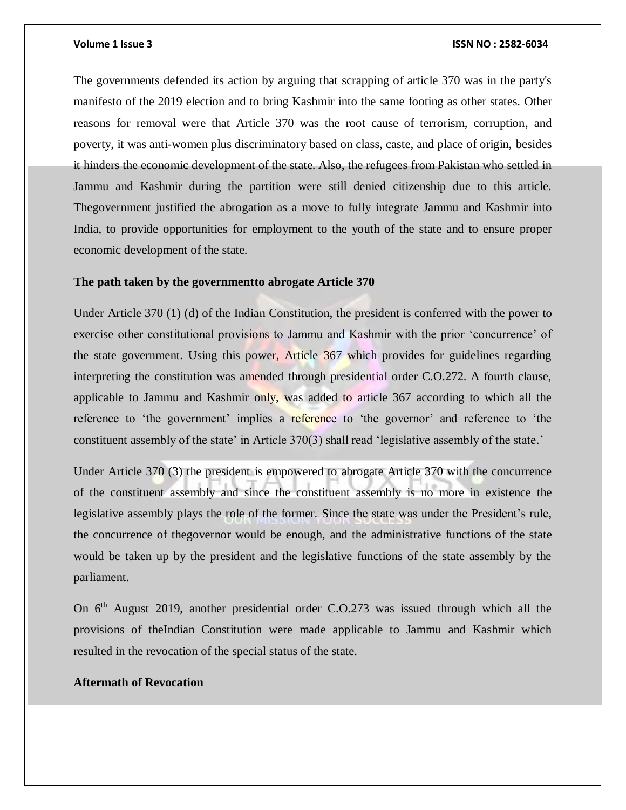The governments defended its action by arguing that scrapping of article 370 was in the party's manifesto of the 2019 election and to bring Kashmir into the same footing as other states. Other reasons for removal were that Article 370 was the root cause of terrorism, corruption, and poverty, it was anti-women plus discriminatory based on class, caste, and place of origin, besides it hinders the economic development of the state. Also, the refugees from Pakistan who settled in Jammu and Kashmir during the partition were still denied citizenship due to this article. Thegovernment justified the abrogation as a move to fully integrate Jammu and Kashmir into India, to provide opportunities for employment to the youth of the state and to ensure proper economic development of the state.

### **The path taken by the governmentto abrogate Article 370**

Under Article 370 (1) (d) of the Indian Constitution, the president is conferred with the power to exercise other constitutional provisions to Jammu and Kashmir with the prior 'concurrence' of the state government. Using this power, Article 367 which provides for guidelines regarding interpreting the constitution was amended through presidential order C.O.272. A fourth clause, applicable to Jammu and Kashmir only, was added to article 367 according to which all the reference to 'the government' implies a reference to 'the governor' and reference to 'the constituent assembly of the state' in Article 370(3) shall read 'legislative assembly of the state.'

Under Article 370 (3) the president is empowered to abrogate Article 370 with the concurrence of the constituent assembly and since the constituent assembly is no more in existence the legislative assembly plays the role of the former. Since the state was under the President's rule, the concurrence of thegovernor would be enough, and the administrative functions of the state would be taken up by the president and the legislative functions of the state assembly by the parliament.

On 6<sup>th</sup> August 2019, another presidential order C.O.273 was issued through which all the provisions of theIndian Constitution were made applicable to Jammu and Kashmir which resulted in the revocation of the special status of the state.

# **Aftermath of Revocation**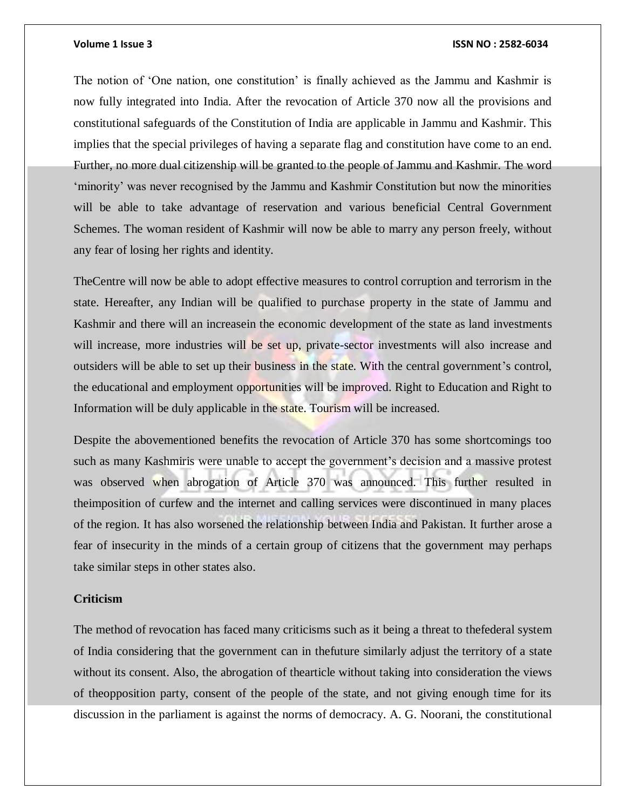The notion of 'One nation, one constitution' is finally achieved as the Jammu and Kashmir is now fully integrated into India. After the revocation of Article 370 now all the provisions and constitutional safeguards of the Constitution of India are applicable in Jammu and Kashmir. This implies that the special privileges of having a separate flag and constitution have come to an end. Further, no more dual citizenship will be granted to the people of Jammu and Kashmir. The word 'minority' was never recognised by the Jammu and Kashmir Constitution but now the minorities will be able to take advantage of reservation and various beneficial Central Government Schemes. The woman resident of Kashmir will now be able to marry any person freely, without any fear of losing her rights and identity.

TheCentre will now be able to adopt effective measures to control corruption and terrorism in the state. Hereafter, any Indian will be qualified to purchase property in the state of Jammu and Kashmir and there will an increasein the economic development of the state as land investments will increase, more industries will be set up, private-sector investments will also increase and outsiders will be able to set up their business in the state. With the central government's control, the educational and employment opportunities will be improved. Right to Education and Right to Information will be duly applicable in the state. Tourism will be increased.

Despite the abovementioned benefits the revocation of Article 370 has some shortcomings too such as many Kashmiris were unable to accept the government's decision and a massive protest was observed when abrogation of Article 370 was announced. This further resulted in theimposition of curfew and the internet and calling services were discontinued in many places of the region. It has also worsened the relationship between India and Pakistan. It further arose a fear of insecurity in the minds of a certain group of citizens that the government may perhaps take similar steps in other states also.

# **Criticism**

The method of revocation has faced many criticisms such as it being a threat to thefederal system of India considering that the government can in thefuture similarly adjust the territory of a state without its consent. Also, the abrogation of thearticle without taking into consideration the views of theopposition party, consent of the people of the state, and not giving enough time for its discussion in the parliament is against the norms of democracy. A. G. Noorani, the constitutional